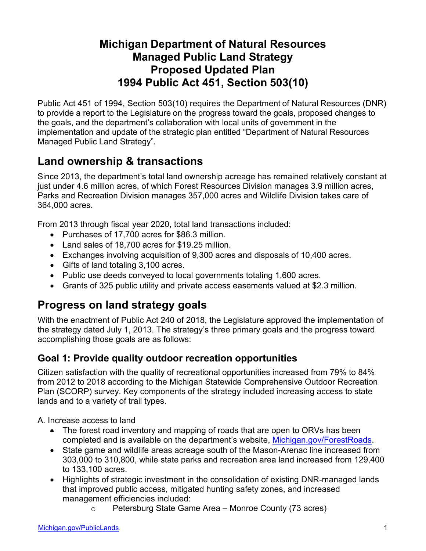### **Michigan Department of Natural Resources Managed Public Land Strategy Proposed Updated Plan 1994 Public Act 451, Section 503(10)**

Public Act 451 of 1994, Section 503(10) requires the Department of Natural Resources (DNR) to provide a report to the Legislature on the progress toward the goals, proposed changes to the goals, and the department's collaboration with local units of government in the implementation and update of the strategic plan entitled "Department of Natural Resources Managed Public Land Strategy".

# **Land ownership & transactions**

Since 2013, the department's total land ownership acreage has remained relatively constant at just under 4.6 million acres, of which Forest Resources Division manages 3.9 million acres, Parks and Recreation Division manages 357,000 acres and Wildlife Division takes care of 364,000 acres.

From 2013 through fiscal year 2020, total land transactions included:

- Purchases of 17,700 acres for \$86.3 million.
- Land sales of 18,700 acres for \$19.25 million.
- Exchanges involving acquisition of 9,300 acres and disposals of 10,400 acres.
- Gifts of land totaling 3,100 acres.
- Public use deeds conveyed to local governments totaling 1,600 acres.
- Grants of 325 public utility and private access easements valued at \$2.3 million.

### **Progress on land strategy goals**

With the enactment of Public Act 240 of 2018, the Legislature approved the implementation of the strategy dated July 1, 2013. The strategy's three primary goals and the progress toward accomplishing those goals are as follows:

#### **Goal 1: Provide quality outdoor recreation opportunities**

Citizen satisfaction with the quality of recreational opportunities increased from 79% to 84% from 2012 to 2018 according to the Michigan Statewide Comprehensive Outdoor Recreation Plan (SCORP) survey. Key components of the strategy included increasing access to state lands and to a variety of trail types.

A. Increase access to land

- The forest road inventory and mapping of roads that are open to ORVs has been completed and is available on the department's website, [Michigan.gov/ForestRoads.](https://www.michigan.gov/dnr/0,4570,7-350-79119_79148_80679---,00.html)
- State game and wildlife areas acreage south of the Mason-Arenac line increased from 303,000 to 310,800, while state parks and recreation area land increased from 129,400 to 133,100 acres.
- Highlights of strategic investment in the consolidation of existing DNR-managed lands that improved public access, mitigated hunting safety zones, and increased management efficiencies included:
	- o Petersburg State Game Area Monroe County (73 acres)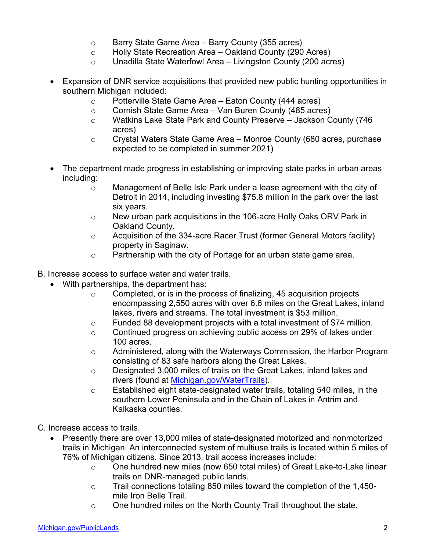- o Barry State Game Area Barry County (355 acres)
- o Holly State Recreation Area Oakland County (290 Acres)
- o Unadilla State Waterfowl Area Livingston County (200 acres)
- Expansion of DNR service acquisitions that provided new public hunting opportunities in southern Michigan included:
	- o Potterville State Game Area Eaton County (444 acres)
	- o Cornish State Game Area Van Buren County (485 acres)
	- o Watkins Lake State Park and County Preserve Jackson County (746 acres)
	- $\circ$  Crystal Waters State Game Area Monroe County (680 acres, purchase expected to be completed in summer 2021)
- The department made progress in establishing or improving state parks in urban areas including:
	- o Management of Belle Isle Park under a lease agreement with the city of Detroit in 2014, including investing \$75.8 million in the park over the last six years.
	- $\circ$  New urban park acquisitions in the 106-acre Holly Oaks ORV Park in Oakland County.
	- $\circ$  Acquisition of the 334-acre Racer Trust (former General Motors facility) property in Saginaw.
	- o Partnership with the city of Portage for an urban state game area.
- B. Increase access to surface water and water trails.
	- With partnerships, the department has:
		- $\circ$  Completed, or is in the process of finalizing, 45 acquisition projects encompassing 2,550 acres with over 6.6 miles on the Great Lakes, inland lakes, rivers and streams. The total investment is \$53 million.
		- $\circ$  Funded 88 development projects with a total investment of \$74 million.
		- $\circ$  Continued progress on achieving public access on 29% of lakes under 100 acres.
		- $\circ$  Administered, along with the Waterways Commission, the Harbor Program consisting of 83 safe harbors along the Great Lakes.
		- o Designated 3,000 miles of trails on the Great Lakes, inland lakes and rivers (found at [Michigan.gov/WaterTrails\)](https://www.michiganwatertrails.org/).
		- o Established eight state-designated water trails, totaling 540 miles, in the southern Lower Peninsula and in the Chain of Lakes in Antrim and Kalkaska counties.
- C. Increase access to trails.
	- Presently there are over 13,000 miles of state-designated motorized and nonmotorized trails in Michigan. An interconnected system of multiuse trails is located within 5 miles of 76% of Michigan citizens. Since 2013, trail access increases include:
		- o One hundred new miles (now 650 total miles) of Great Lake-to-Lake linear trails on DNR-managed public lands.
		- o Trail connections totaling 850 miles toward the completion of the 1,450 mile Iron Belle Trail.
		- $\circ$  One hundred miles on the North County Trail throughout the state.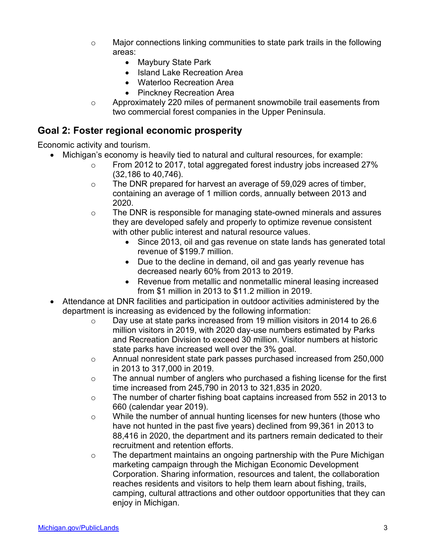- $\circ$  Major connections linking communities to state park trails in the following areas:
	- Maybury State Park
	- Island Lake Recreation Area
	- Waterloo Recreation Area
	- Pinckney Recreation Area
- $\circ$  Approximately 220 miles of permanent snowmobile trail easements from two commercial forest companies in the Upper Peninsula.

### **Goal 2: Foster regional economic prosperity**

Economic activity and tourism.

- Michigan's economy is heavily tied to natural and cultural resources, for example:
	- o From 2012 to 2017, total aggregated forest industry jobs increased 27% (32,186 to 40,746).
	- $\circ$  The DNR prepared for harvest an average of 59,029 acres of timber, containing an average of 1 million cords, annually between 2013 and 2020.
	- o The DNR is responsible for managing state-owned minerals and assures they are developed safely and properly to optimize revenue consistent with other public interest and natural resource values.
		- Since 2013, oil and gas revenue on state lands has generated total revenue of \$199.7 million.
		- Due to the decline in demand, oil and gas yearly revenue has decreased nearly 60% from 2013 to 2019.
		- Revenue from metallic and nonmetallic mineral leasing increased from \$1 million in 2013 to \$11.2 million in 2019.
- Attendance at DNR facilities and participation in outdoor activities administered by the department is increasing as evidenced by the following information:
	- $\circ$  Day use at state parks increased from 19 million visitors in 2014 to 26.6 million visitors in 2019, with 2020 day-use numbers estimated by Parks and Recreation Division to exceed 30 million. Visitor numbers at historic state parks have increased well over the 3% goal.
	- o Annual nonresident state park passes purchased increased from 250,000 in 2013 to 317,000 in 2019.
	- o The annual number of anglers who purchased a fishing license for the first time increased from 245,790 in 2013 to 321,835 in 2020.
	- o The number of charter fishing boat captains increased from 552 in 2013 to 660 (calendar year 2019).
	- $\circ$  While the number of annual hunting licenses for new hunters (those who have not hunted in the past five years) declined from 99,361 in 2013 to 88,416 in 2020, the department and its partners remain dedicated to their recruitment and retention efforts.
	- o The department maintains an ongoing partnership with the Pure Michigan marketing campaign through the Michigan Economic Development Corporation. Sharing information, resources and talent, the collaboration reaches residents and visitors to help them learn about fishing, trails, camping, cultural attractions and other outdoor opportunities that they can enjoy in Michigan.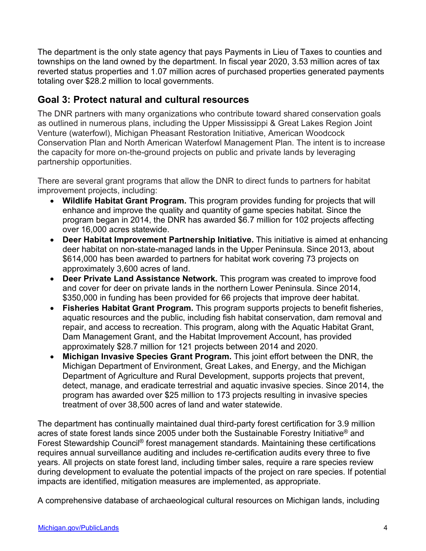The department is the only state agency that pays Payments in Lieu of Taxes to counties and townships on the land owned by the department. In fiscal year 2020, 3.53 million acres of tax reverted status properties and 1.07 million acres of purchased properties generated payments totaling over \$28.2 million to local governments.

#### **Goal 3: Protect natural and cultural resources**

The DNR partners with many organizations who contribute toward shared conservation goals as outlined in numerous plans, including the Upper Mississippi & Great Lakes Region Joint Venture (waterfowl), Michigan Pheasant Restoration Initiative, American Woodcock Conservation Plan and North American Waterfowl Management Plan. The intent is to increase the capacity for more on-the-ground projects on public and private lands by leveraging partnership opportunities.

There are several grant programs that allow the DNR to direct funds to partners for habitat improvement projects, including:

- **Wildlife Habitat Grant Program.** This program provides funding for projects that will enhance and improve the quality and quantity of game species habitat. Since the program began in 2014, the DNR has awarded \$6.7 million for 102 projects affecting over 16,000 acres statewide.
- **Deer Habitat Improvement Partnership Initiative.** This initiative is aimed at enhancing deer habitat on non-state-managed lands in the Upper Peninsula. Since 2013, about \$614,000 has been awarded to partners for habitat work covering 73 projects on approximately 3,600 acres of land.
- **Deer Private Land Assistance Network.** This program was created to improve food and cover for deer on private lands in the northern Lower Peninsula. Since 2014, \$350,000 in funding has been provided for 66 projects that improve deer habitat.
- **Fisheries Habitat Grant Program.** This program supports projects to benefit fisheries, aquatic resources and the public, including fish habitat conservation, dam removal and repair, and access to recreation. This program, along with the Aquatic Habitat Grant, Dam Management Grant, and the Habitat Improvement Account, has provided approximately \$28.7 million for 121 projects between 2014 and 2020.
- **Michigan Invasive Species Grant Program.** This joint effort between the DNR, the Michigan Department of Environment, Great Lakes, and Energy, and the Michigan Department of Agriculture and Rural Development, supports projects that prevent, detect, manage, and eradicate terrestrial and aquatic invasive species. Since 2014, the program has awarded over \$25 million to 173 projects resulting in invasive species treatment of over 38,500 acres of land and water statewide.

The department has continually maintained dual third-party forest certification for 3.9 million acres of state forest lands since 2005 under both the Sustainable Forestry Initiative® and Forest Stewardship Council<sup>®</sup> forest management standards. Maintaining these certifications requires annual surveillance auditing and includes re-certification audits every three to five years. All projects on state forest land, including timber sales, require a rare species review during development to evaluate the potential impacts of the project on rare species. If potential impacts are identified, mitigation measures are implemented, as appropriate.

A comprehensive database of archaeological cultural resources on Michigan lands, including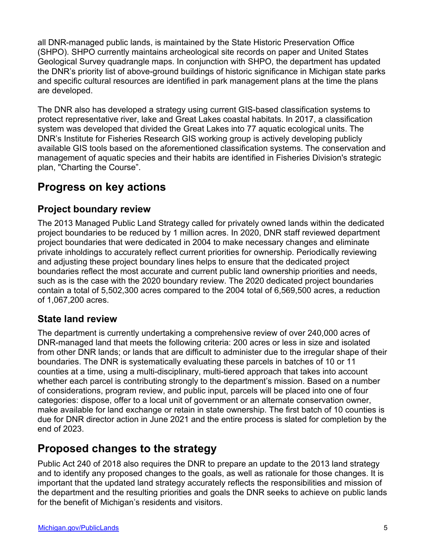all DNR-managed public lands, is maintained by the State Historic Preservation Office (SHPO). SHPO currently maintains archeological site records on paper and United States Geological Survey quadrangle maps. In conjunction with SHPO, the department has updated the DNR's priority list of above-ground buildings of historic significance in Michigan state parks and specific cultural resources are identified in park management plans at the time the plans are developed.

The DNR also has developed a strategy using current GIS-based classification systems to protect representative river, lake and Great Lakes coastal habitats. In 2017, a classification system was developed that divided the Great Lakes into 77 aquatic ecological units. The DNR's [Institute for Fisheries Research GIS working group](https://www.michigan.gov/dnr/0,4570,7-350-79136_79236_80537_82192-458867--,00.html) is actively developing publicly available GIS tools based on the aforementioned classification systems. The conservation and management of aquatic species and their habits are identified in Fisheries Division's strategic plan, "Charting the Course".

## **Progress on key actions**

### **Project boundary review**

The 2013 Managed Public Land Strategy called for privately owned lands within the dedicated project boundaries to be reduced by 1 million acres. In 2020, DNR staff reviewed department project boundaries that were dedicated in 2004 to make necessary changes and eliminate private inholdings to accurately reflect current priorities for ownership. Periodically reviewing and adjusting these project boundary lines helps to ensure that the dedicated project boundaries reflect the most accurate and current public land ownership priorities and needs, such as is the case with the 2020 boundary review. The 2020 dedicated project boundaries contain a total of 5,502,300 acres compared to the 2004 total of 6,569,500 acres, a reduction of 1,067,200 acres.

### **State land review**

The department is currently undertaking a comprehensive review of over 240,000 acres of DNR-managed land that meets the following criteria: 200 acres or less in size and isolated from other DNR lands; or lands that are difficult to administer due to the irregular shape of their boundaries. The DNR is systematically evaluating these parcels in batches of 10 or 11 counties at a time, using a multi-disciplinary, multi-tiered approach that takes into account whether each parcel is contributing strongly to the department's mission. Based on a number of considerations, program review, and public input, parcels will be placed into one of four categories: dispose, offer to a local unit of government or an alternate conservation owner, make available for land exchange or retain in state ownership. The first batch of 10 counties is due for DNR director action in June 2021 and the entire process is slated for completion by the end of 2023.

## **Proposed changes to the strategy**

Public Act 240 of 2018 also requires the DNR to prepare an update to the 2013 land strategy and to identify any proposed changes to the goals, as well as rationale for those changes. It is important that the updated land strategy accurately reflects the responsibilities and mission of the department and the resulting priorities and goals the DNR seeks to achieve on public lands for the benefit of Michigan's residents and visitors.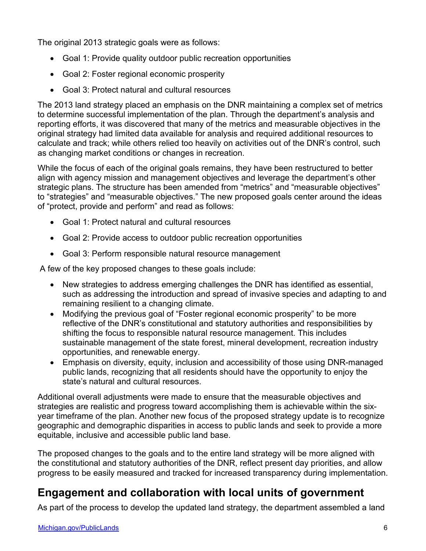The original 2013 strategic goals were as follows:

- Goal 1: Provide quality outdoor public recreation opportunities
- Goal 2: Foster regional economic prosperity
- Goal 3: Protect natural and cultural resources

The 2013 land strategy placed an emphasis on the DNR maintaining a complex set of metrics to determine successful implementation of the plan. Through the department's analysis and reporting efforts, it was discovered that many of the metrics and measurable objectives in the original strategy had limited data available for analysis and required additional resources to calculate and track; while others relied too heavily on activities out of the DNR's control, such as changing market conditions or changes in recreation.

While the focus of each of the original goals remains, they have been restructured to better align with agency mission and management objectives and leverage the department's other strategic plans. The structure has been amended from "metrics" and "measurable objectives" to "strategies" and "measurable objectives." The new proposed goals center around the ideas of "protect, provide and perform" and read as follows:

- Goal 1: Protect natural and cultural resources
- Goal 2: Provide access to outdoor public recreation opportunities
- Goal 3: Perform responsible natural resource management

A few of the key proposed changes to these goals include:

- New strategies to address emerging challenges the DNR has identified as essential, such as addressing the introduction and spread of invasive species and adapting to and remaining resilient to a changing climate.
- Modifying the previous goal of "Foster regional economic prosperity" to be more reflective of the DNR's constitutional and statutory authorities and responsibilities by shifting the focus to responsible natural resource management. This includes sustainable management of the state forest, mineral development, recreation industry opportunities, and renewable energy.
- Emphasis on diversity, equity, inclusion and accessibility of those using DNR-managed public lands, recognizing that all residents should have the opportunity to enjoy the state's natural and cultural resources.

Additional overall adjustments were made to ensure that the measurable objectives and strategies are realistic and progress toward accomplishing them is achievable within the sixyear timeframe of the plan. Another new focus of the proposed strategy update is to recognize geographic and demographic disparities in access to public lands and seek to provide a more equitable, inclusive and accessible public land base.

The proposed changes to the goals and to the entire land strategy will be more aligned with the constitutional and statutory authorities of the DNR, reflect present day priorities, and allow progress to be easily measured and tracked for increased transparency during implementation.

## **Engagement and collaboration with local units of government**

As part of the process to develop the updated land strategy, the department assembled a land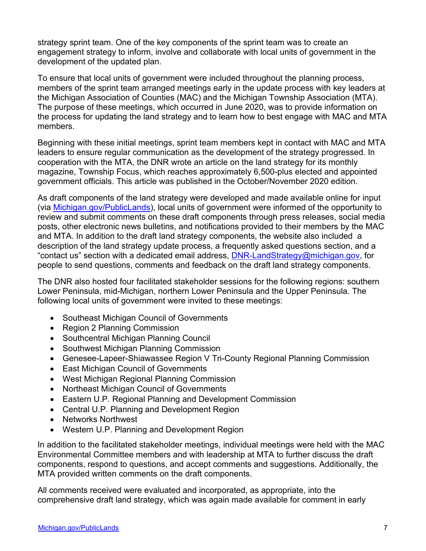strategy sprint team. One of the key components of the sprint team was to create an engagement strategy to inform, involve and collaborate with local units of government in the development of the updated plan.

To ensure that local units of government were included throughout the planning process, members of the sprint team arranged meetings early in the update process with key leaders at the Michigan Association of Counties (MAC) and the Michigan Township Association (MTA). The purpose of these meetings, which occurred in June 2020, was to provide information on the process for updating the land strategy and to learn how to best engage with MAC and MTA members.

Beginning with these initial meetings, sprint team members kept in contact with MAC and MTA leaders to ensure regular communication as the development of the strategy progressed. In cooperation with the MTA, the DNR wrote an article on the land strategy for its monthly magazine, Township Focus, which reaches approximately 6,500-plus elected and appointed government officials. This article was published in the October/November 2020 edition.

As draft components of the land strategy were developed and made available online for input (via [Michigan.gov/PublicLands\)](https://www.michigan.gov/dnr/0,4570,7-350-79136_79262---,00.html), local units of government were informed of the opportunity to review and submit comments on these draft components through press releases, social media posts, other electronic news bulletins, and notifications provided to their members by the MAC and MTA. In addition to the draft land strategy components, the website also included a description of the land strategy update process, a frequently asked questions section, and a "contact us" section with a dedicated email address, [DNR-LandStrategy@michigan.gov,](mailto:DNR-LandStrategy@michigan.gov) for people to send questions, comments and feedback on the draft land strategy components.

The DNR also hosted four facilitated stakeholder sessions for the following regions: southern Lower Peninsula, mid-Michigan, northern Lower Peninsula and the Upper Peninsula. The following local units of government were invited to these meetings:

- Southeast Michigan Council of Governments
- Region 2 Planning Commission
- Southcentral Michigan Planning Council
- Southwest Michigan Planning Commission
- Genesee-Lapeer-Shiawassee Region V Tri-County Regional Planning Commission
- East Michigan Council of Governments
- West Michigan Regional Planning Commission
- Northeast Michigan Council of Governments
- Eastern U.P. Regional Planning and Development Commission
- Central U.P. Planning and Development Region
- Networks Northwest
- Western U.P. Planning and Development Region

In addition to the facilitated stakeholder meetings, individual meetings were held with the MAC Environmental Committee members and with leadership at MTA to further discuss the draft components, respond to questions, and accept comments and suggestions. Additionally, the MTA provided written comments on the draft components.

All comments received were evaluated and incorporated, as appropriate, into the comprehensive draft land strategy, which was again made available for comment in early